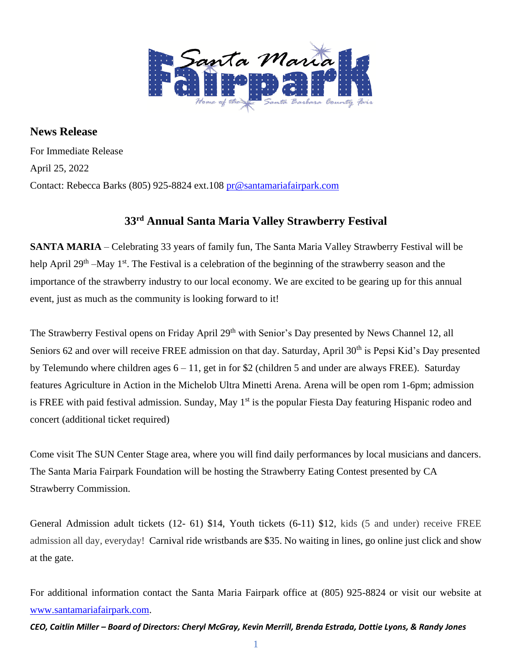

**News Release** For Immediate Release April 25, 2022 Contact: Rebecca Barks (805) 925-8824 ext.108 [pr@santamariafairpark.com](mailto:pr@santamariafairpark.com)

## **33rd Annual Santa Maria Valley Strawberry Festival**

**SANTA MARIA** – Celebrating 33 years of family fun, The Santa Maria Valley Strawberry Festival will be help April 29<sup>th</sup> –May 1<sup>st</sup>. The Festival is a celebration of the beginning of the strawberry season and the importance of the strawberry industry to our local economy. We are excited to be gearing up for this annual event, just as much as the community is looking forward to it!

The Strawberry Festival opens on Friday April 29<sup>th</sup> with Senior's Day presented by News Channel 12, all Seniors 62 and over will receive FREE admission on that day. Saturday, April 30<sup>th</sup> is Pepsi Kid's Day presented by Telemundo where children ages  $6 - 11$ , get in for \$2 (children 5 and under are always FREE). Saturday features Agriculture in Action in the Michelob Ultra Minetti Arena. Arena will be open rom 1-6pm; admission is FREE with paid festival admission. Sunday, May 1<sup>st</sup> is the popular Fiesta Day featuring Hispanic rodeo and concert (additional ticket required)

Come visit The SUN Center Stage area, where you will find daily performances by local musicians and dancers. The Santa Maria Fairpark Foundation will be hosting the Strawberry Eating Contest presented by CA Strawberry Commission.

General Admission adult tickets (12- 61) \$14, Youth tickets (6-11) \$12, kids (5 and under) receive FREE admission all day, everyday! Carnival ride wristbands are \$35. No waiting in lines, go online just click and show at the gate.

For additional information contact the Santa Maria Fairpark office at (805) 925-8824 or visit our website at [www.santamariafairpark.com.](http://www.santamariafairpark.com/)

*CEO, Caitlin Miller – Board of Directors: Cheryl McGray, Kevin Merrill, Brenda Estrada, Dottie Lyons, & Randy Jones*